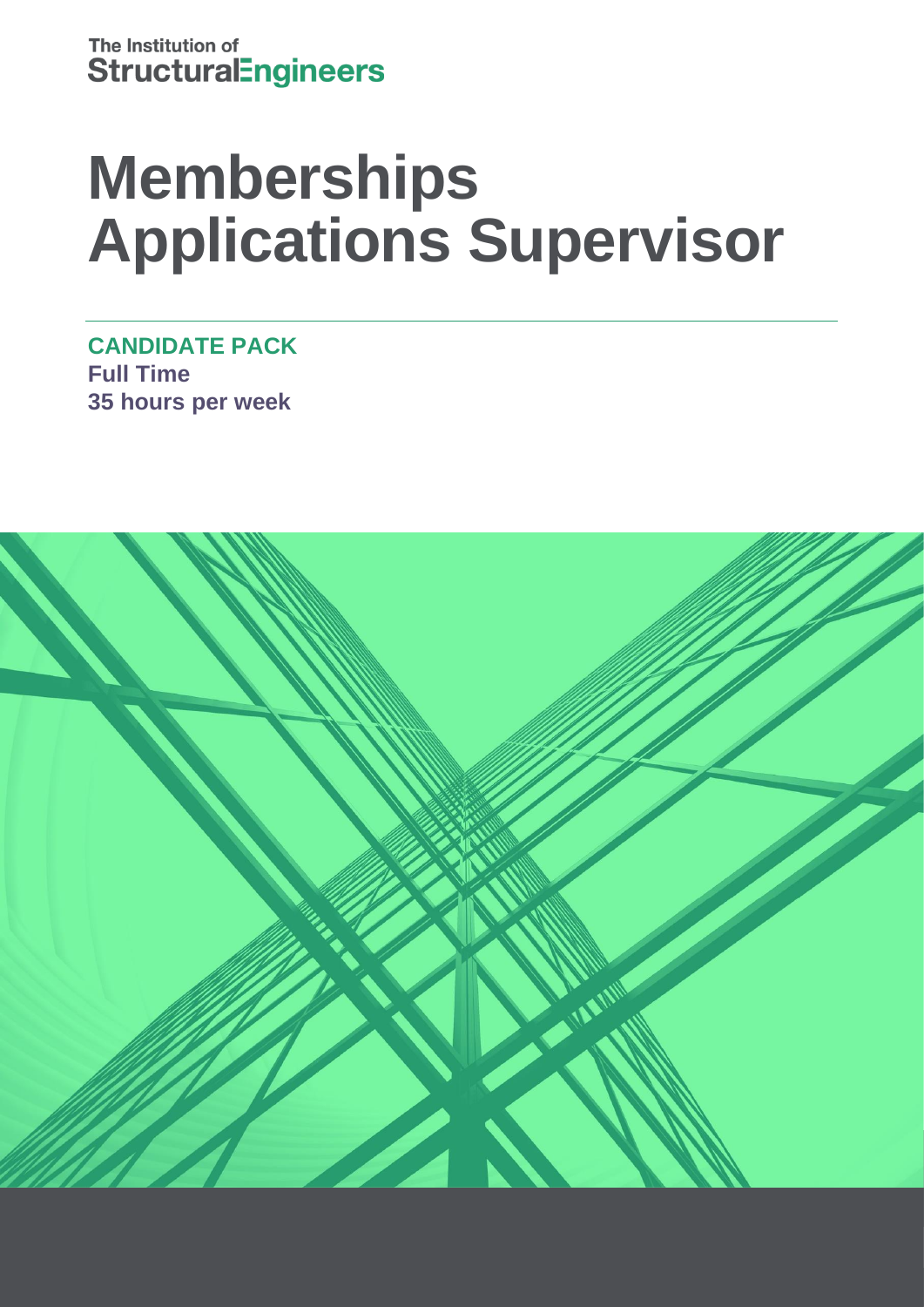# **Memberships Applications Supervisor**

**CANDIDATE PACK Full Time 35 hours per week**

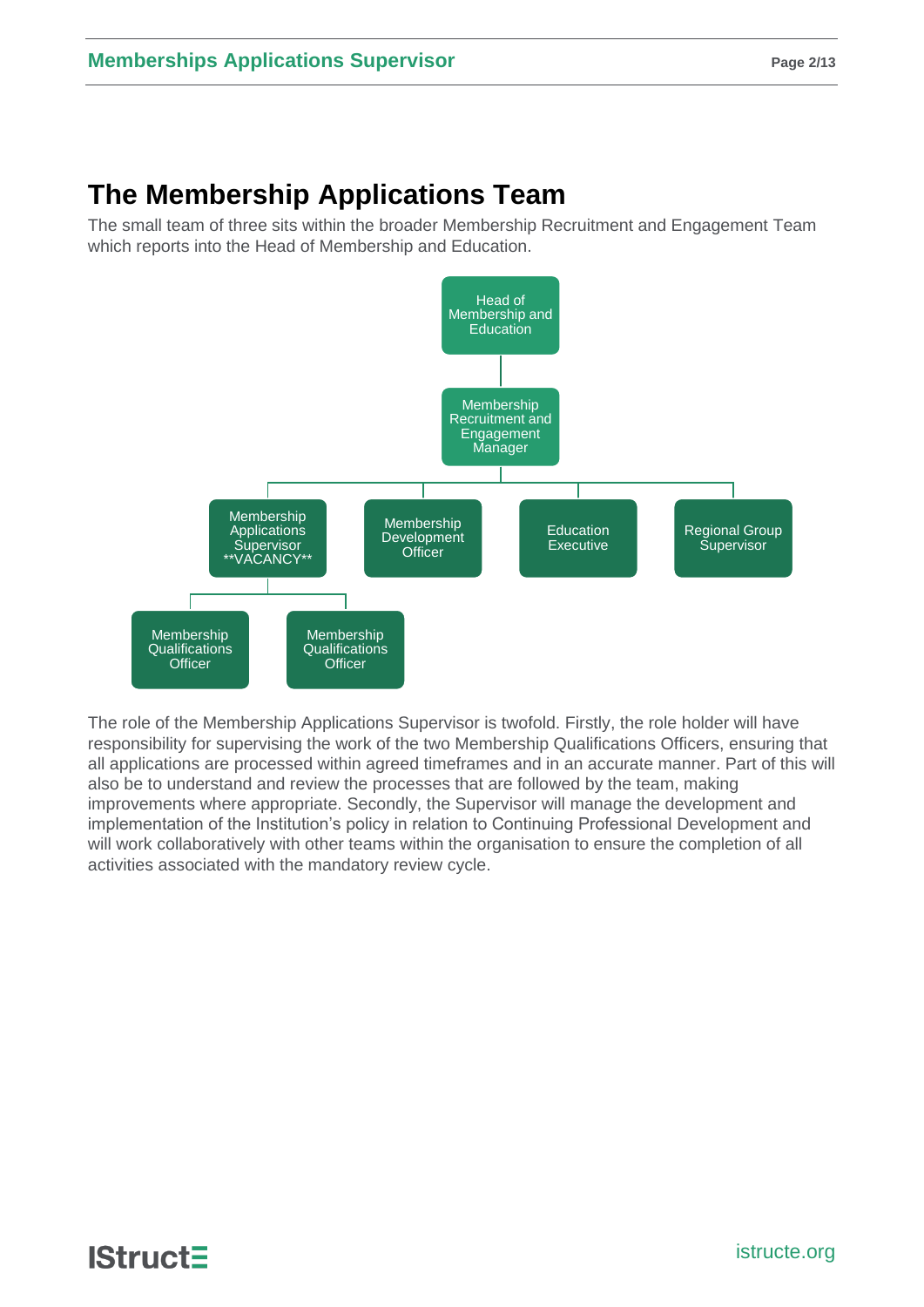# **The Membership Applications Team**

The small team of three sits within the broader Membership Recruitment and Engagement Team which reports into the Head of Membership and Education.



The role of the Membership Applications Supervisor is twofold. Firstly, the role holder will have responsibility for supervising the work of the two Membership Qualifications Officers, ensuring that all applications are processed within agreed timeframes and in an accurate manner. Part of this will also be to understand and review the processes that are followed by the team, making improvements where appropriate. Secondly, the Supervisor will manage the development and implementation of the Institution's policy in relation to Continuing Professional Development and will work collaboratively with other teams within the organisation to ensure the completion of all activities associated with the mandatory review cycle.

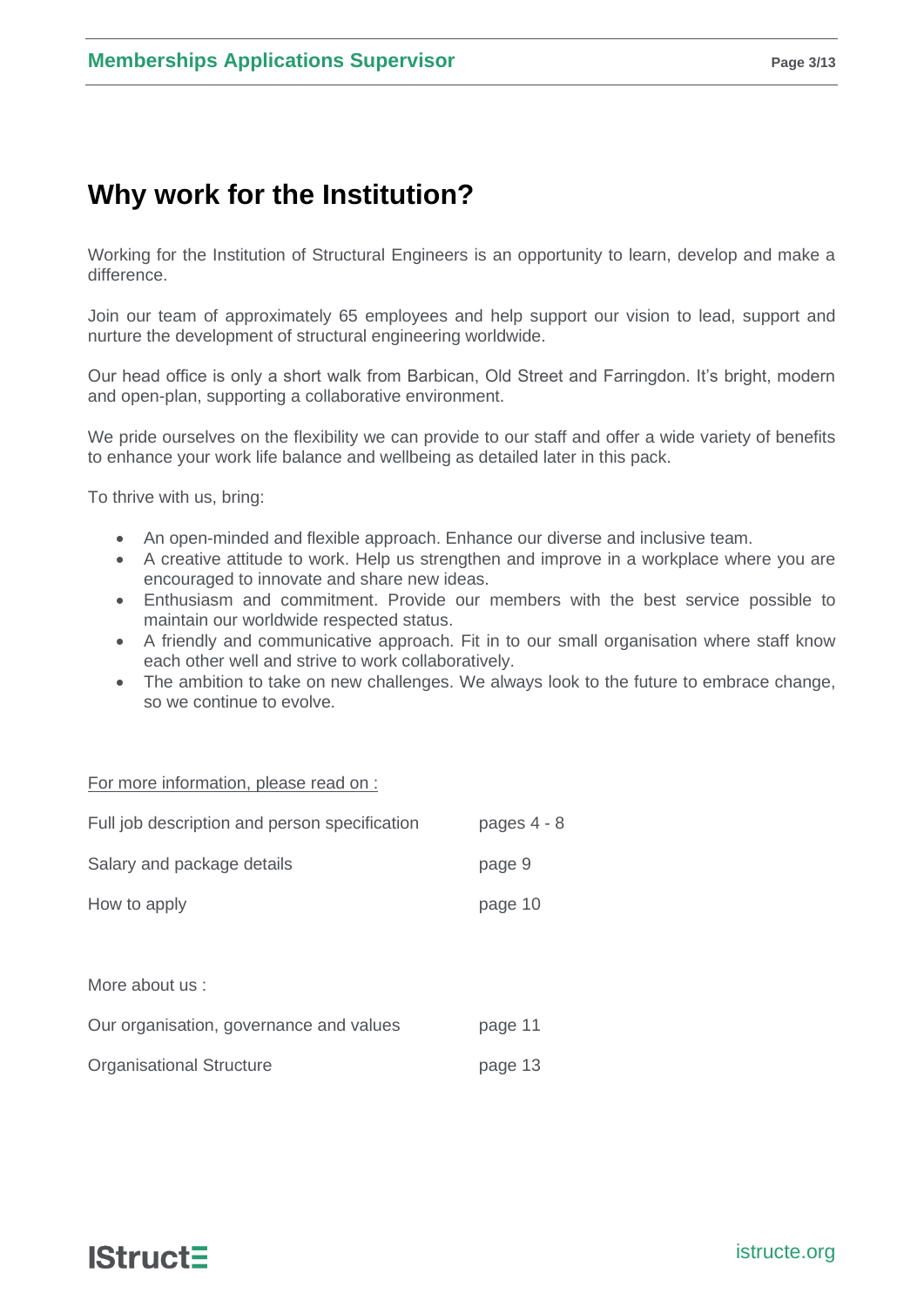# **Why work for the Institution?**

Working for the Institution of Structural Engineers is an opportunity to learn, develop and make a difference.

Join our team of approximately 65 employees and help support our vision to lead, support and nurture the development of structural engineering worldwide.

Our head office is only a short walk from Barbican, Old Street and Farringdon. It's bright, modern and open-plan, supporting a collaborative environment.

We pride ourselves on the flexibility we can provide to our staff and offer a wide variety of benefits to enhance your work life balance and wellbeing as detailed later in this pack.

To thrive with us, bring:

- An open-minded and flexible approach. Enhance our diverse and inclusive team.
- A creative attitude to work. Help us strengthen and improve in a workplace where you are encouraged to innovate and share new ideas.
- Enthusiasm and commitment. Provide our members with the best service possible to maintain our worldwide respected status.
- A friendly and communicative approach. Fit in to our small organisation where staff know each other well and strive to work collaboratively.
- The ambition to take on new challenges. We always look to the future to embrace change, so we continue to evolve.

For more information, please read on :

| Full job description and person specification | pages 4 - 8 |
|-----------------------------------------------|-------------|
| Salary and package details                    | page 9      |
| How to apply                                  | page 10     |
|                                               |             |
| More about us :                               |             |
| Our organisation, governance and values       | page 11     |
| <b>Organisational Structure</b>               | page 13     |

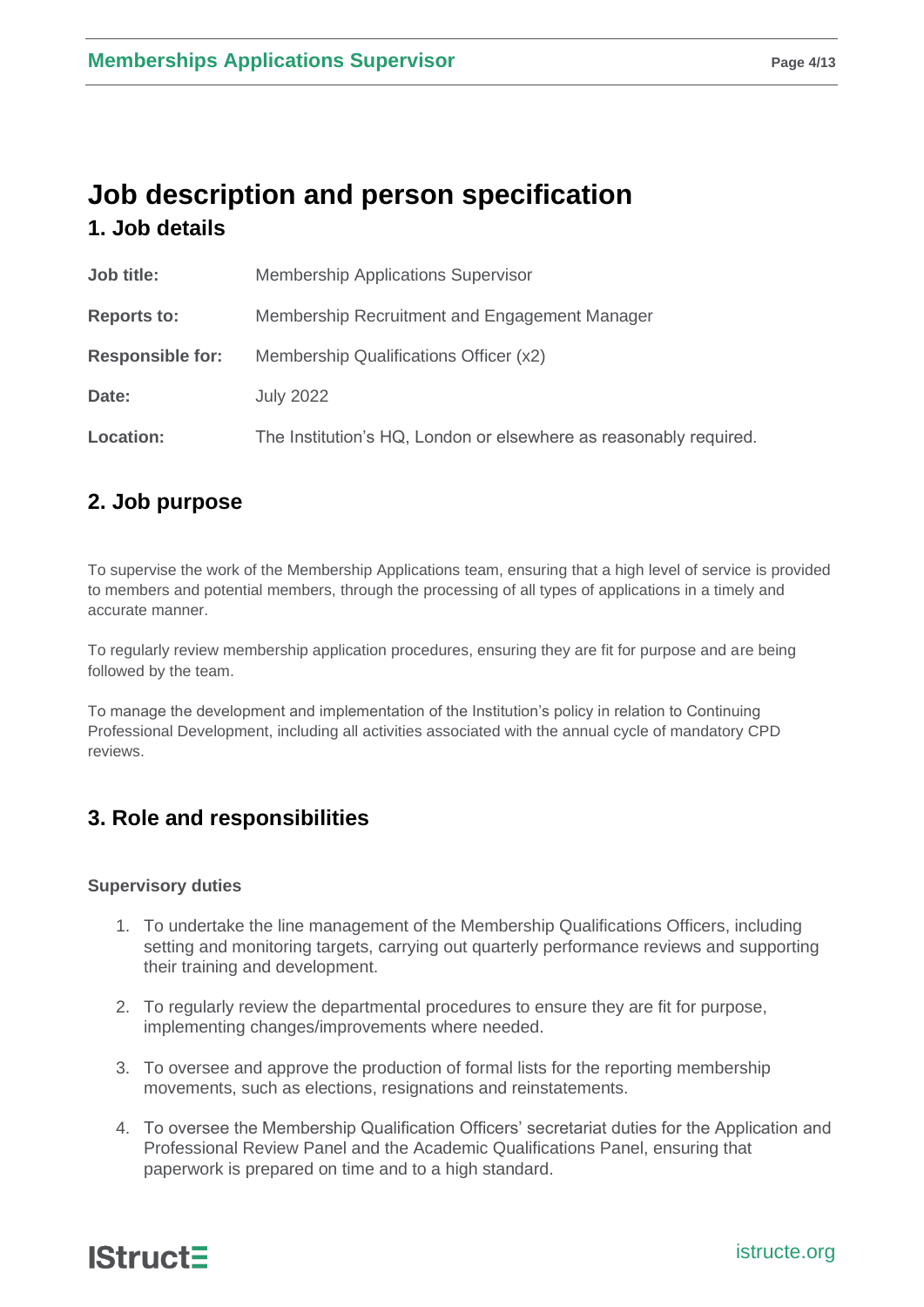## **Job description and person specification 1. Job details**

| Job title:              | <b>Membership Applications Supervisor</b>                         |
|-------------------------|-------------------------------------------------------------------|
| <b>Reports to:</b>      | Membership Recruitment and Engagement Manager                     |
| <b>Responsible for:</b> | Membership Qualifications Officer (x2)                            |
| Date:                   | <b>July 2022</b>                                                  |
| <b>Location:</b>        | The Institution's HQ, London or elsewhere as reasonably required. |

## **2. Job purpose**

To supervise the work of the Membership Applications team, ensuring that a high level of service is provided to members and potential members, through the processing of all types of applications in a timely and accurate manner.

To regularly review membership application procedures, ensuring they are fit for purpose and are being followed by the team.

To manage the development and implementation of the Institution's policy in relation to Continuing Professional Development, including all activities associated with the annual cycle of mandatory CPD reviews.

## **3. Role and responsibilities**

#### **Supervisory duties**

- 1. To undertake the line management of the Membership Qualifications Officers, including setting and monitoring targets, carrying out quarterly performance reviews and supporting their training and development.
- 2. To regularly review the departmental procedures to ensure they are fit for purpose, implementing changes/improvements where needed.
- 3. To oversee and approve the production of formal lists for the reporting membership movements, such as elections, resignations and reinstatements.
- 4. To oversee the Membership Qualification Officers' secretariat duties for the Application and Professional Review Panel and the Academic Qualifications Panel, ensuring that paperwork is prepared on time and to a high standard.

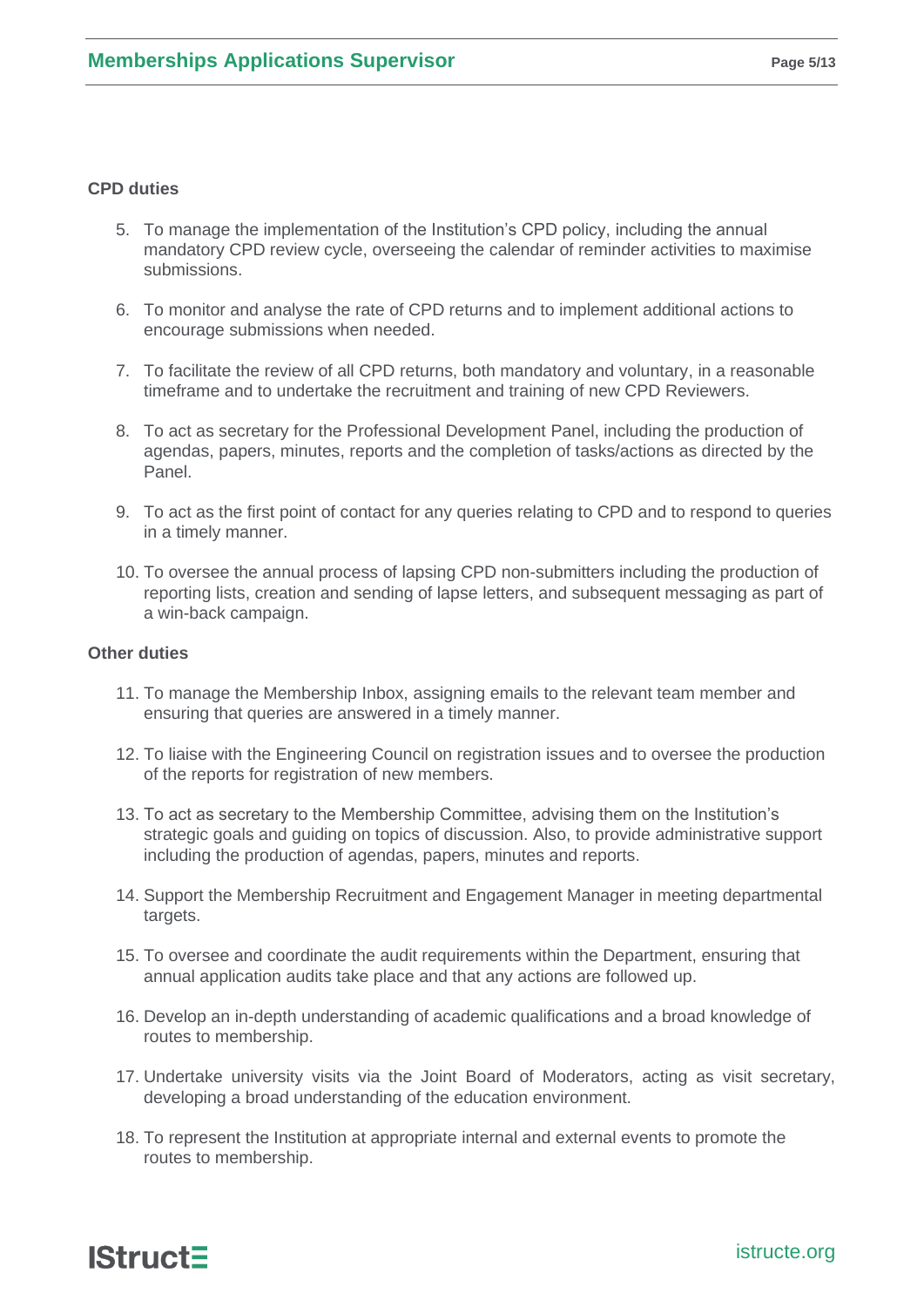#### **CPD duties**

- 5. To manage the implementation of the Institution's CPD policy, including the annual mandatory CPD review cycle, overseeing the calendar of reminder activities to maximise submissions.
- 6. To monitor and analyse the rate of CPD returns and to implement additional actions to encourage submissions when needed.
- 7. To facilitate the review of all CPD returns, both mandatory and voluntary, in a reasonable timeframe and to undertake the recruitment and training of new CPD Reviewers.
- 8. To act as secretary for the Professional Development Panel, including the production of agendas, papers, minutes, reports and the completion of tasks/actions as directed by the Panel.
- 9. To act as the first point of contact for any queries relating to CPD and to respond to queries in a timely manner.
- 10. To oversee the annual process of lapsing CPD non-submitters including the production of reporting lists, creation and sending of lapse letters, and subsequent messaging as part of a win-back campaign.

#### **Other duties**

- 11. To manage the Membership Inbox, assigning emails to the relevant team member and ensuring that queries are answered in a timely manner.
- 12. To liaise with the Engineering Council on registration issues and to oversee the production of the reports for registration of new members.
- 13. To act as secretary to the Membership Committee, advising them on the Institution's strategic goals and guiding on topics of discussion. Also, to provide administrative support including the production of agendas, papers, minutes and reports.
- 14. Support the Membership Recruitment and Engagement Manager in meeting departmental targets.
- 15. To oversee and coordinate the audit requirements within the Department, ensuring that annual application audits take place and that any actions are followed up.
- 16. Develop an in-depth understanding of academic qualifications and a broad knowledge of routes to membership.
- 17. Undertake university visits via the Joint Board of Moderators, acting as visit secretary, developing a broad understanding of the education environment.
- 18. To represent the Institution at appropriate internal and external events to promote the routes to membership.

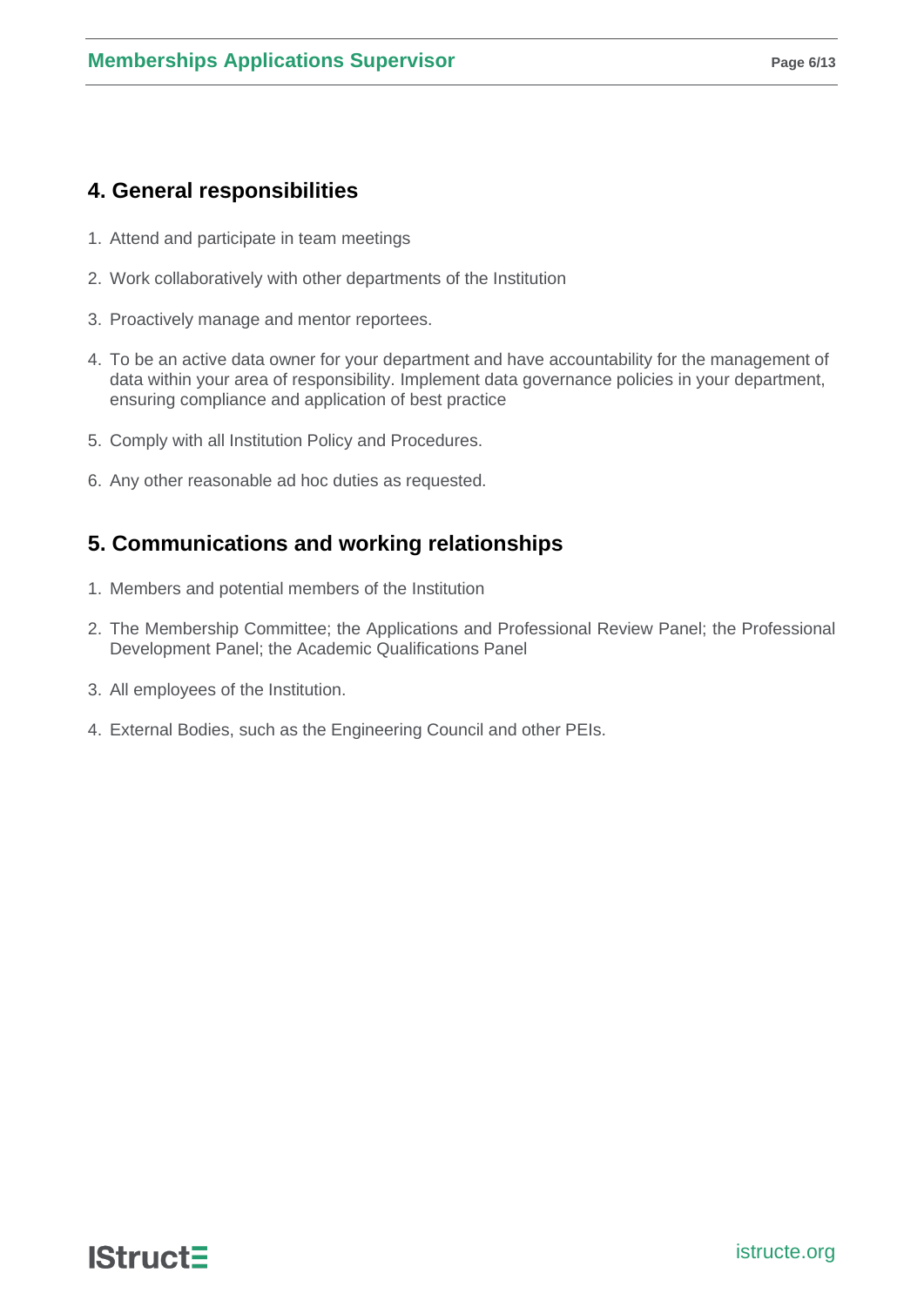## **4. General responsibilities**

- 1. Attend and participate in team meetings
- 2. Work collaboratively with other departments of the Institution
- 3. Proactively manage and mentor reportees.
- 4. To be an active data owner for your department and have accountability for the management of data within your area of responsibility. Implement data governance policies in your department, ensuring compliance and application of best practice
- 5. Comply with all Institution Policy and Procedures.
- 6. Any other reasonable ad hoc duties as requested.

## **5. Communications and working relationships**

- 1. Members and potential members of the Institution
- 2. The Membership Committee; the Applications and Professional Review Panel; the Professional Development Panel; the Academic Qualifications Panel
- 3. All employees of the Institution.
- 4. External Bodies, such as the Engineering Council and other PEIs.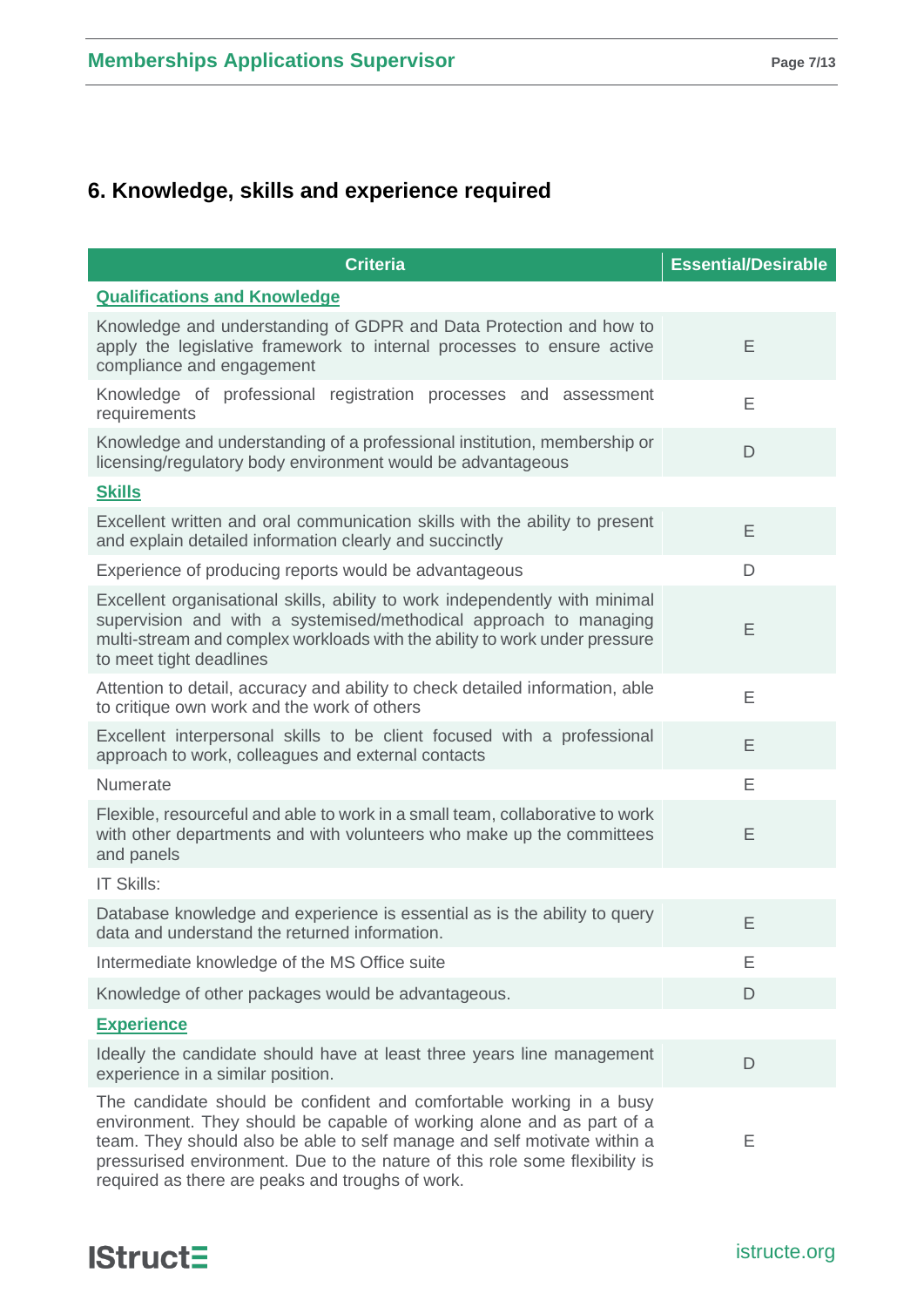## **6. Knowledge, skills and experience required**

| <b>Criteria</b>                                                                                                                                                                                                                                                                                                                                             | <b>Essential/Desirable</b> |
|-------------------------------------------------------------------------------------------------------------------------------------------------------------------------------------------------------------------------------------------------------------------------------------------------------------------------------------------------------------|----------------------------|
| <b>Qualifications and Knowledge</b>                                                                                                                                                                                                                                                                                                                         |                            |
| Knowledge and understanding of GDPR and Data Protection and how to<br>apply the legislative framework to internal processes to ensure active<br>compliance and engagement                                                                                                                                                                                   | E                          |
| Knowledge of professional registration processes and assessment<br>requirements                                                                                                                                                                                                                                                                             | E                          |
| Knowledge and understanding of a professional institution, membership or<br>licensing/regulatory body environment would be advantageous                                                                                                                                                                                                                     | D                          |
| <b>Skills</b>                                                                                                                                                                                                                                                                                                                                               |                            |
| Excellent written and oral communication skills with the ability to present<br>and explain detailed information clearly and succinctly                                                                                                                                                                                                                      | E                          |
| Experience of producing reports would be advantageous                                                                                                                                                                                                                                                                                                       | D                          |
| Excellent organisational skills, ability to work independently with minimal<br>supervision and with a systemised/methodical approach to managing<br>multi-stream and complex workloads with the ability to work under pressure<br>to meet tight deadlines                                                                                                   | E                          |
| Attention to detail, accuracy and ability to check detailed information, able<br>to critique own work and the work of others                                                                                                                                                                                                                                | E                          |
| Excellent interpersonal skills to be client focused with a professional<br>approach to work, colleagues and external contacts                                                                                                                                                                                                                               | E                          |
| Numerate                                                                                                                                                                                                                                                                                                                                                    | E                          |
| Flexible, resourceful and able to work in a small team, collaborative to work<br>with other departments and with volunteers who make up the committees<br>and panels                                                                                                                                                                                        | Ε                          |
| IT Skills:                                                                                                                                                                                                                                                                                                                                                  |                            |
| Database knowledge and experience is essential as is the ability to query<br>data and understand the returned information.                                                                                                                                                                                                                                  | E                          |
| Intermediate knowledge of the MS Office suite                                                                                                                                                                                                                                                                                                               | E                          |
| Knowledge of other packages would be advantageous.                                                                                                                                                                                                                                                                                                          | D                          |
| <b>Experience</b>                                                                                                                                                                                                                                                                                                                                           |                            |
| Ideally the candidate should have at least three years line management<br>experience in a similar position.                                                                                                                                                                                                                                                 | D                          |
| The candidate should be confident and comfortable working in a busy<br>environment. They should be capable of working alone and as part of a<br>team. They should also be able to self manage and self motivate within a<br>pressurised environment. Due to the nature of this role some flexibility is<br>required as there are peaks and troughs of work. | Ε                          |

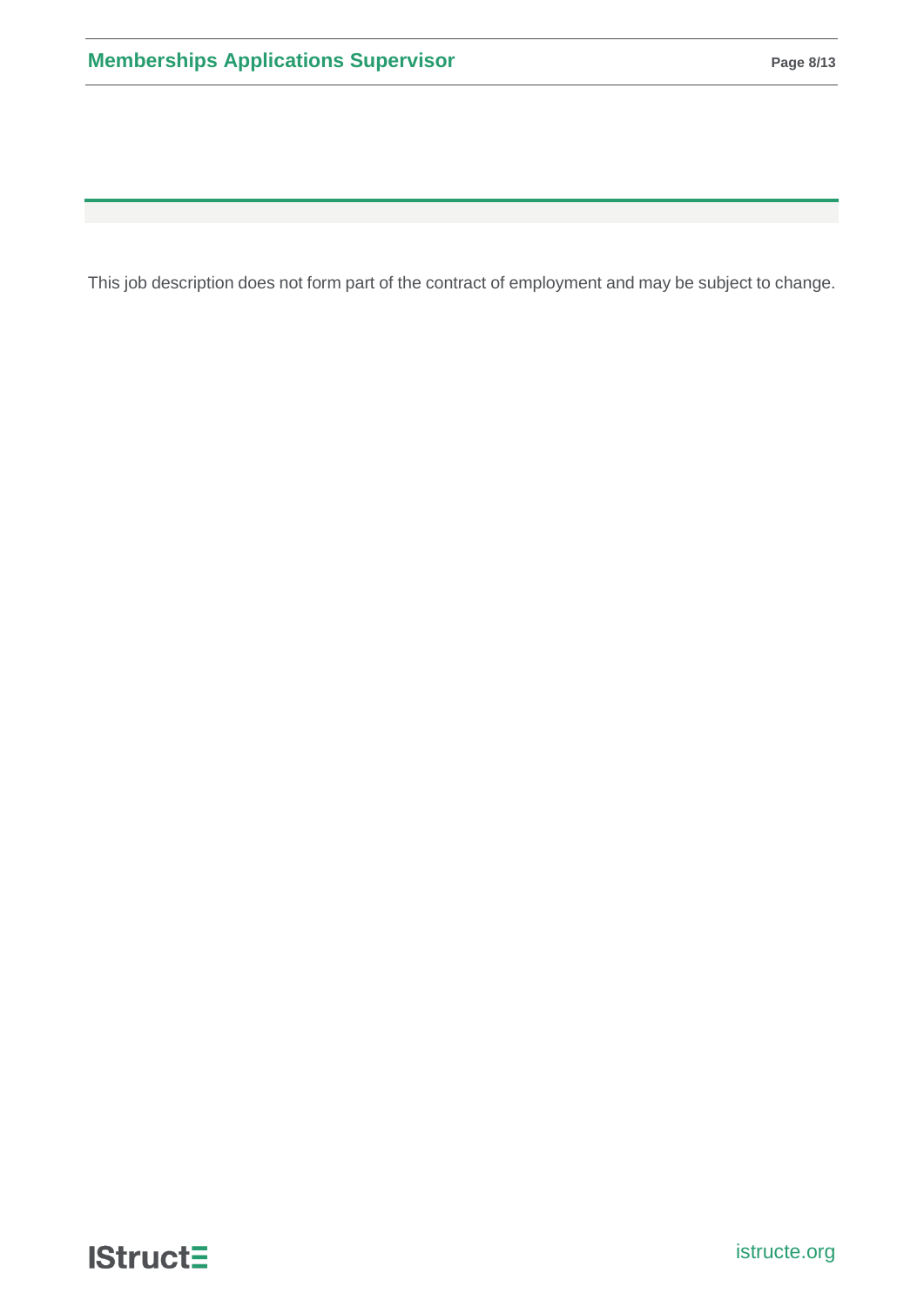This job description does not form part of the contract of employment and may be subject to change.

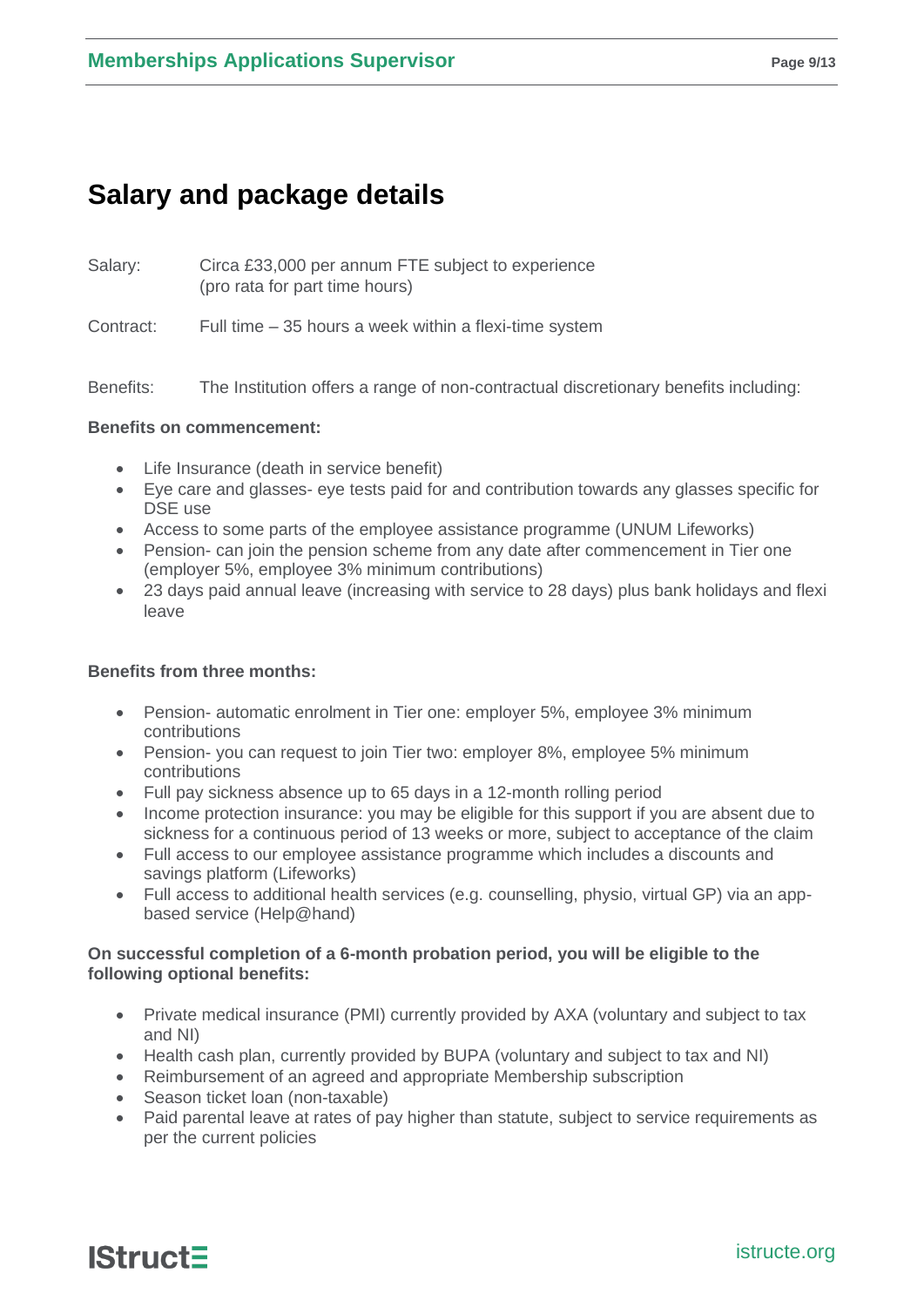# **Salary and package details**

Salary: Circa £33,000 per annum FTE subject to experience (pro rata for part time hours)

Contract: Full time – 35 hours a week within a flexi-time system

Benefits: The Institution offers a range of non-contractual discretionary benefits including:

#### **Benefits on commencement:**

- Life Insurance (death in service benefit)
- Eye care and glasses- eye tests paid for and contribution towards any glasses specific for DSE use
- Access to some parts of the employee assistance programme (UNUM Lifeworks)
- Pension- can join the pension scheme from any date after commencement in Tier one (employer 5%, employee 3% minimum contributions)
- 23 days paid annual leave (increasing with service to 28 days) plus bank holidays and flexi leave

#### **Benefits from three months:**

- Pension- automatic enrolment in Tier one: employer 5%, employee 3% minimum contributions
- Pension- you can request to join Tier two: employer 8%, employee 5% minimum contributions
- Full pay sickness absence up to 65 days in a 12-month rolling period
- Income protection insurance: you may be eligible for this support if you are absent due to sickness for a continuous period of 13 weeks or more, subject to acceptance of the claim
- Full access to our employee assistance programme which includes a discounts and savings platform (Lifeworks)
- Full access to additional health services (e.g. counselling, physio, virtual GP) via an appbased service (Help@hand)

#### **On successful completion of a 6-month probation period, you will be eligible to the following optional benefits:**

- Private medical insurance (PMI) currently provided by AXA (voluntary and subject to tax and NI)
- Health cash plan, currently provided by BUPA (voluntary and subject to tax and NI)
- Reimbursement of an agreed and appropriate Membership subscription
- Season ticket loan (non-taxable)
- Paid parental leave at rates of pay higher than statute, subject to service requirements as per the current policies

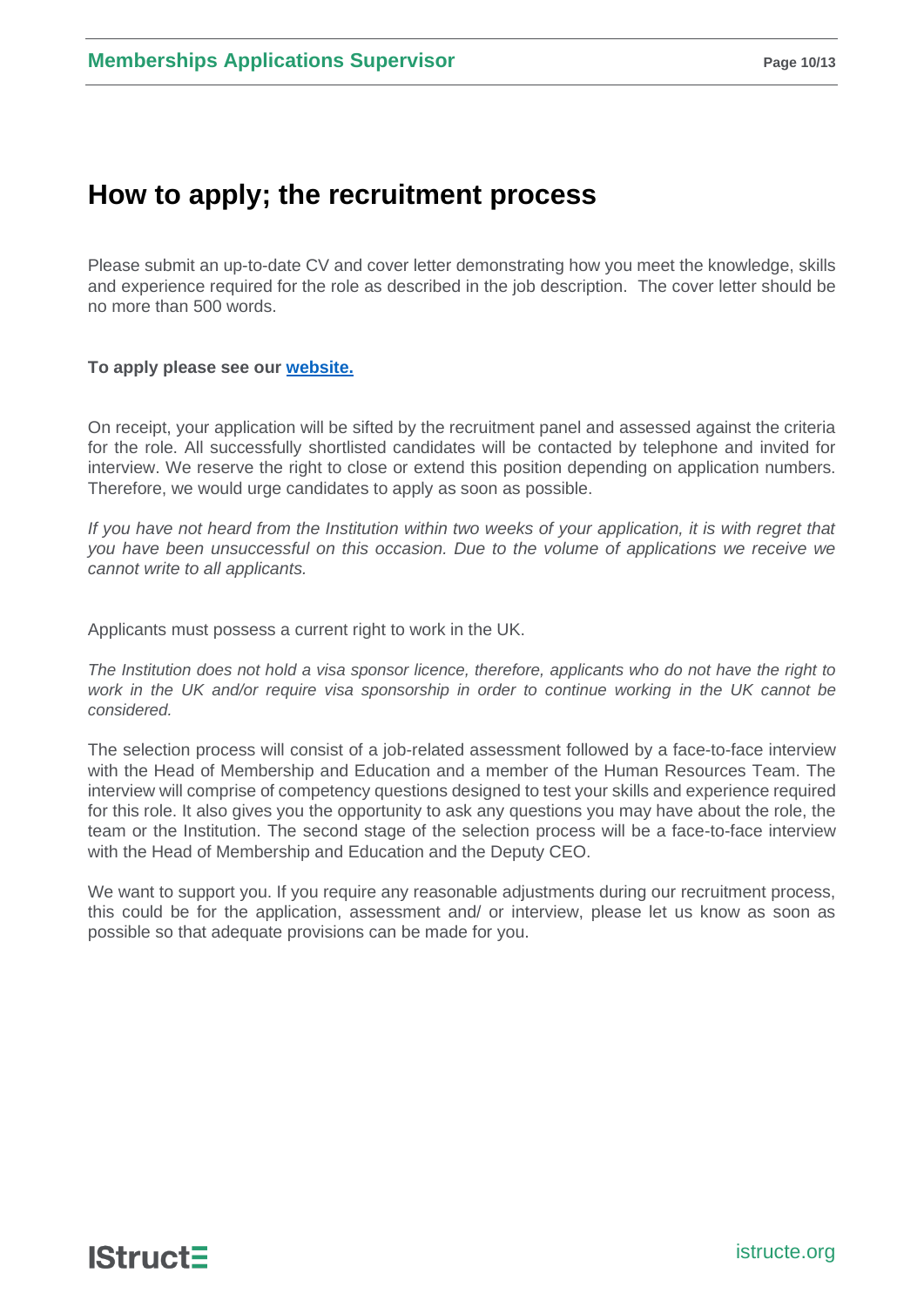## **How to apply; the recruitment process**

Please submit an up-to-date CV and cover letter demonstrating how you meet the knowledge, skills and experience required for the role as described in the job description. The cover letter should be no more than 500 words.

#### **To apply please see our [website.](https://www.istructe.org/about-us/work-for-us/#View%20current%20vacancies)**

On receipt, your application will be sifted by the recruitment panel and assessed against the criteria for the role. All successfully shortlisted candidates will be contacted by telephone and invited for interview. We reserve the right to close or extend this position depending on application numbers. Therefore, we would urge candidates to apply as soon as possible.

*If you have not heard from the Institution within two weeks of your application, it is with regret that you have been unsuccessful on this occasion. Due to the volume of applications we receive we cannot write to all applicants.*

Applicants must possess a current right to work in the UK.

*The Institution does not hold a visa sponsor licence, therefore, applicants who do not have the right to work in the UK and/or require visa sponsorship in order to continue working in the UK cannot be considered.*

The selection process will consist of a job-related assessment followed by a face-to-face interview with the Head of Membership and Education and a member of the Human Resources Team. The interview will comprise of competency questions designed to test your skills and experience required for this role. It also gives you the opportunity to ask any questions you may have about the role, the team or the Institution. The second stage of the selection process will be a face-to-face interview with the Head of Membership and Education and the Deputy CEO.

We want to support you. If you require any reasonable adjustments during our recruitment process, this could be for the application, assessment and/ or interview, please let us know as soon as possible so that adequate provisions can be made for you.

**IStruct=**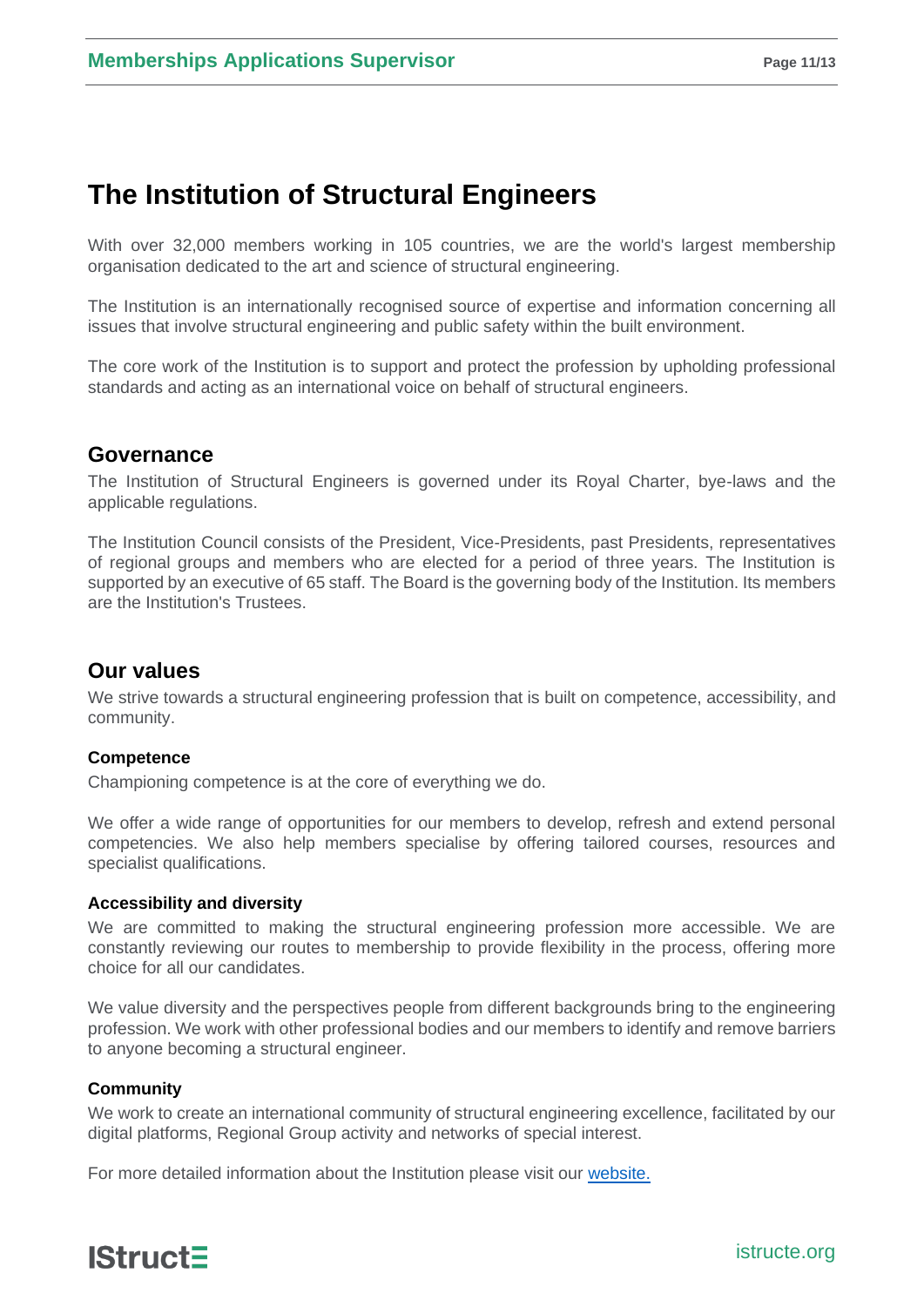# **The Institution of Structural Engineers**

With over 32,000 members working in 105 countries, we are the world's largest membership organisation dedicated to the art and science of structural engineering.

The Institution is an internationally recognised source of expertise and information concerning all issues that involve structural engineering and public safety within the built environment.

The core work of the Institution is to support and protect the profession by upholding professional standards and acting as an international voice on behalf of structural engineers.

### **Governance**

The Institution of Structural Engineers is governed under its Royal Charter, bye-laws and the applicable regulations.

The Institution [Council](http://www.istructe.org/about-us/organisation-structure/council) consists of the President, Vice-Presidents, past Presidents, representatives of regional groups and members who are elected for a period of three years. The Institution is supported by an executive of 65 staff. The [Board](http://www.istructe.org/about-us/organisation-structure/board-of-trustee) is the governing body of the Institution. Its members are the Institution's Trustees.

## **Our values**

We strive towards a structural engineering profession that is built on competence, accessibility, and community.

#### **Competence**

Championing competence is at the core of everything we do.

We offer a wide range of opportunities for our members to develop, refresh and extend personal competencies. We also help members specialise by offering tailored courses, resources and specialist qualifications.

#### **Accessibility and diversity**

We are committed to making the structural engineering profession more accessible. We are constantly reviewing our routes to membership to provide flexibility in the process, offering more choice for all our candidates.

We value diversity and the perspectives people from different backgrounds bring to the engineering profession. We work with other professional bodies and our members to identify and remove barriers to anyone becoming a structural engineer.

#### **Community**

We work to create an international community of structural engineering excellence, facilitated by our digital platforms, Regional Group activity and networks of special interest.

For more detailed information about the Institution please visit our [website.](https://www.istructe.org/)

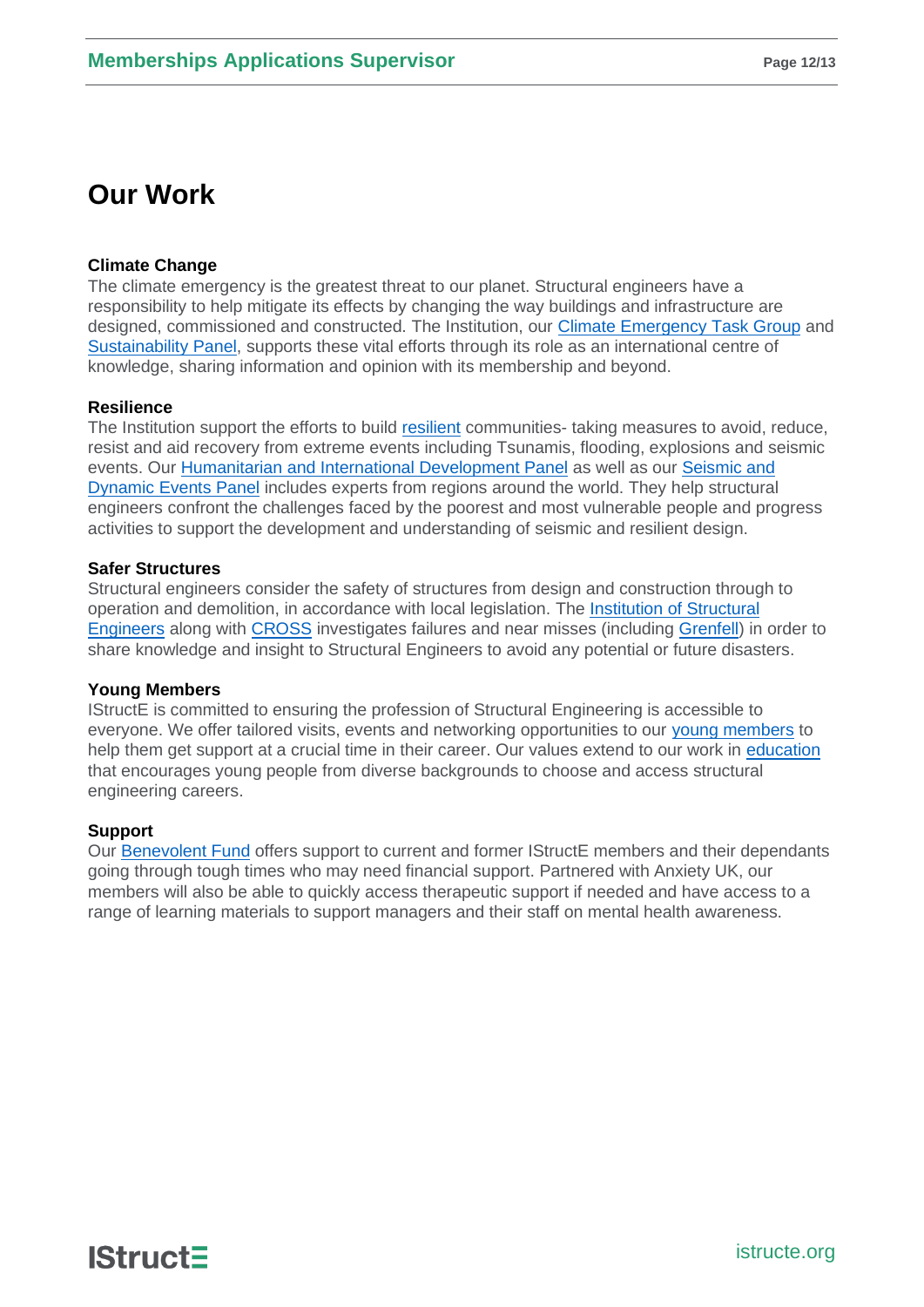# **Our Work**

#### **Climate Change**

The climate emergency is the greatest threat to our planet. Structural engineers have a responsibility to help mitigate its effects by changing the way buildings and infrastructure are designed, commissioned and constructed. The Institution, our [Climate Emergency Task Group](https://www.istructe.org/resources/climate-emergency/#6.%20Get%20involved) and [Sustainability Panel,](https://www.istructe.org/get-involved/panels-and-committees/sustainability/) supports these vital efforts through its role as an international centre of knowledge, sharing information and opinion with its membership and beyond.

#### **Resilience**

The Institution support the efforts to build [resilient](https://www.istructe.org/resources/resilience/) communities- taking measures to avoid, reduce, resist and aid recovery from extreme events including Tsunamis, flooding, explosions and seismic events. Our [Humanitarian and International Development Panel](https://www.istructe.org/get-involved/panels-and-committees/humanitarian-international/) as well as our [Seismic and](https://www.istructe.org/get-involved/panels-and-committees/seismic-dynamic-events/)  [Dynamic Events Panel](https://www.istructe.org/get-involved/panels-and-committees/seismic-dynamic-events/) includes experts from regions around the world. They help structural engineers confront the challenges faced by the poorest and most vulnerable people and progress activities to support the development and understanding of seismic and resilient design.

#### **Safer Structures**

Structural engineers consider the safety of structures from design and construction through to operation and demolition, in accordance with local legislation. The [Institution of Structural](https://www.istructe.org/resources/safety-of-society/)  [Engineers](https://www.istructe.org/resources/safety-of-society/) along with [CROSS](https://www.cross-safety.org/uk) investigates failures and near misses (including [Grenfell\)](https://www.istructe.org/resources/training/lecture-risk-management-learning-from-failures/) in order to share knowledge and insight to Structural Engineers to avoid any potential or future disasters.

#### **Young Members**

IStructE is committed to ensuring the profession of Structural Engineering is accessible to everyone. We offer tailored visits, events and networking opportunities to our [young members](https://www.istructe.org/get-involved/young-member-groups/) to help them get support at a crucial time in their career. Our values extend to our work in [education](https://www.istructe.org/resources/teaching-resources/) that encourages young people from diverse backgrounds to choose and access structural engineering careers.

#### **Support**

Our [Benevolent Fund](https://www.istructe.org/about-us/benevolent-fund/) offers support to current and former IStructE members and their dependants going through tough times who may need financial support. Partnered with Anxiety UK, our members will also be able to quickly access therapeutic support if needed and have access to a range of learning materials to support managers and their staff on mental health awareness.

**IStruct=**